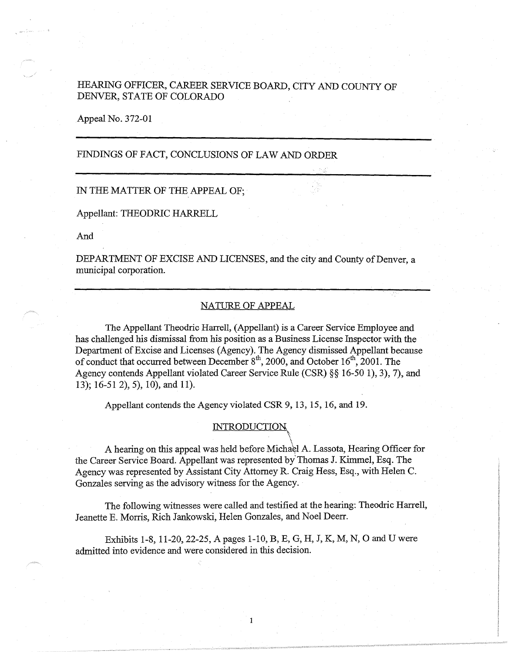# HEARING OFFICER, CAREER SERVICE BOARD, CITY AND COUNTY OF DENVER, STATE OF COLORADO

Appeal No. 372-01

# FINDINGS OF FACT, CONCLUSIONS OF LAW AND ORDER

#### IN THE MATTER OF THE APPEAL OF;

Appellant: THEODRIC HARRELL

And

DEPARTMENT OF EXCISE AND LICENSES, and the city and County of Denver, a municipal corporation.

# NATURE OF APPEAL

The Appellant Theodric Harrell, (Appellant) is a Career Service Employee and has challenged his dismissal from his position as a Business License Inspector with the Department of Excise and Licenses (Agency). The Agency dismissed Appellant because of conduct that occurred between December  $8<sup>th</sup>$ , 2000, and October 16<sup>th</sup>, 2001. The Agency contends Appellant violated Career Service Rule (CSR)§§ 16-50 1), 3), 7), and 13); 16-51 2), 5), 10), and 11).

Appellant contends the Agency violated CSR 9, 13, 15, 16, and 19.

# **INTRODUCTION**

A hearing on this appeal was held before Michael A. Lassota, Hearing Officer for the Career Service Board. Appellant was represented by'Thomas J. Kimmel, Esq. The Agency was represented by Assistant City Attorney R. Craig Hess, Esq., with Helen C. Gonzales serving as the advisory witness for the Agency.

The following witnesses were called and testified at the hearing: Theodric Harrell, Jeanette E. Morris, Rich Jankowski, Helen Gonzales, and Noel Deerr.

Exhibits 1-8, 11-20, 22-25, A pages 1-10, B, E, G, H, J, K, M, N, 0 and U were admitted into evidence and were considered in this decision.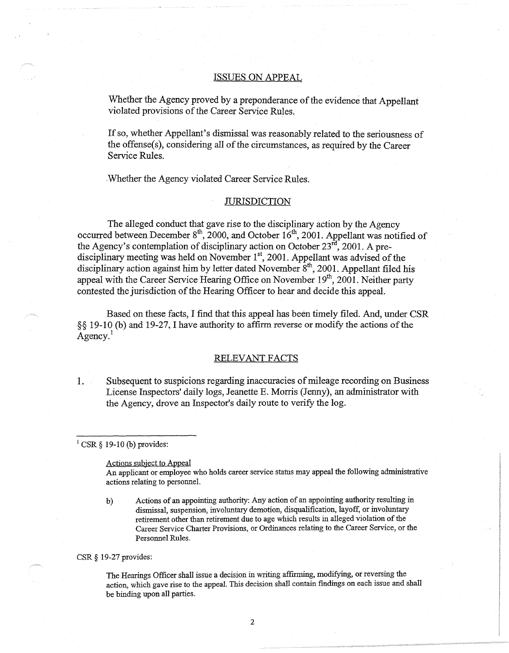# . ISSUES ON APPEAL

Whether the Agency proved by a preponderance of the evidence that Appellant violated provisions of the Career Service Rules.

If so, whether Appellant's dismissal was reasonably related to the seriousness of the offense $(s)$ , considering all of the circumstances, as required by the Career Service Rules.

. Whether the Agency violated Career Service Rules.

#### JURISDICTION

The alleged conduct that gave rise to the disciplinary action by the Agency occurred between December  $8<sup>th</sup>$ , 2000, and October 16<sup>th</sup>, 2001. Appellant was notified of the Agency's contemplation of disciplinary action on October  $23<sup>rd</sup>$ , 2001. A predisciplinary meeting was held on November  $1<sup>st</sup>$ , 2001. Appellant was advised of the disciplinary action against him by letter dated November  $8^{\text{th}}$ , 2001. Appellant filed his appeal with the Career Service Hearing Office on November  $19<sup>th</sup>$ , 2001. Neither party contested the jurisdiction of the Hearing Officer to hear and decide this appeal.

Based on these facts, I find that this appeal has been timely filed. And, under CSR §§ 19-10 (b) and 19-27, I have authority to affirm reverse or modify the actions of the Agency.

#### RELEVANT FACTS

I. Subsequent to suspicions regarding inaccuracies of mileage recording on Business License Inspectors' daily logs, Jeanette E. Morris (Jenny), an administrator with the Agency, drove an Inspector's daily route to verify the log.

### $1$  CSR § 19-10 (b) provides:

#### Actions subject to Appeal

An applicant or employee who holds career service status may appeal the following administrative actions relating to personnel.

b) Actions of an appointing authority: Any action of an appointing authority resulting in dismissal, suspension, involuntary demotion, disqualification, layoff, or involuntary retirement other than retirement due to age which results in alleged violation of the Career Service Charter Provisions, or Ordinances relating to the Career Service, or the Personnel Rules.

CSR§ 19-27 provides:

The Hearings Officer shall issue a decision in writing affirming, modifying, or reversing the action, which gave rise to the appeal. This decision shall contain findings on each issue and shall be binding upon all parties.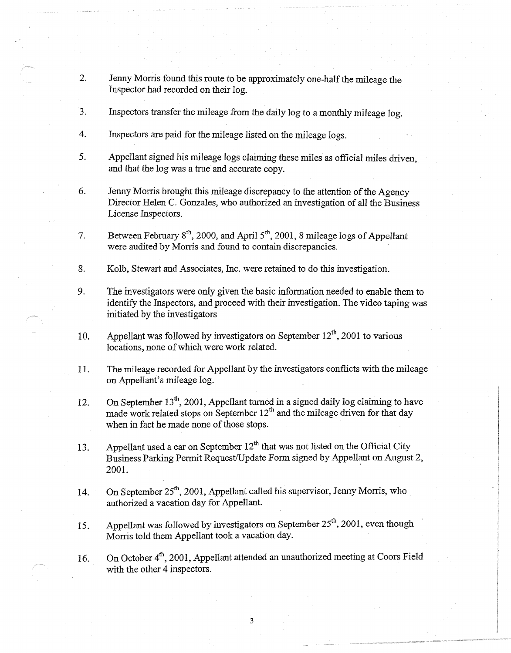- 2. Jenny Morris found this route to be approximately one-half the mileage the Inspector had recorded on their log.
- 3. Inspectors transfer the mileage from the daily log to a monthly mileage log.
- 4. Inspectors are paid for the mileage listed on the mileage logs.
- 5. Appellant signed his mileage logs claiming these miles as official miles driven, and that the log was a true and accurate copy.
- 6. Jenny Morris brought this mileage discrepancy to the attention of the Agency Director Helen C. Gonzales, who authorized an investigation of all the Business License Inspectors.
- 7. Between February  $8^{th}$ , 2000, and April  $5^{th}$ , 2001, 8 mileage logs of Appellant were audited by Morris and found to contain discrepancies.
- 8. Kolb, Stewart and Associates, Inc. were retained to do this investigation.
- 9. The investigators were only given the basic information needed to enable them to identify the Inspectors, and proceed with their investigation. The video taping was initiated by the investigators
- 10. Appellant was followed by investigators on September  $12^{th}$ , 2001 to various locations, none of which were work related.
- 11. The mileage recorded for Appellant by the investigators conflicts with the mileage on Appellant's mileage log.
- 12. On September 13<sup>th</sup>, 2001, Appellant turned in a signed daily log claiming to have made work related stops on September  $12^{th}$  and the mileage driven for that day when in fact he made none of those stops.
- 13. Appellant used a car on September  $12^{th}$  that was not listed on the Official City Business Parking Permit Request/Update Form signed by Appellant on August 2, 2001.
- 14. On September  $25<sup>th</sup>$ , 2001, Appellant called his supervisor, Jenny Morris, who authorized a vacation day for Appellant.
- 15. Appellant was followed by investigators on September 25<sup>th</sup>, 2001, even though Morris told them Appellant took a vacation day.

16. On October 4<sup>th</sup>, 2001, Appellant attended an unauthorized meeting at Coors Field with the other 4 inspectors.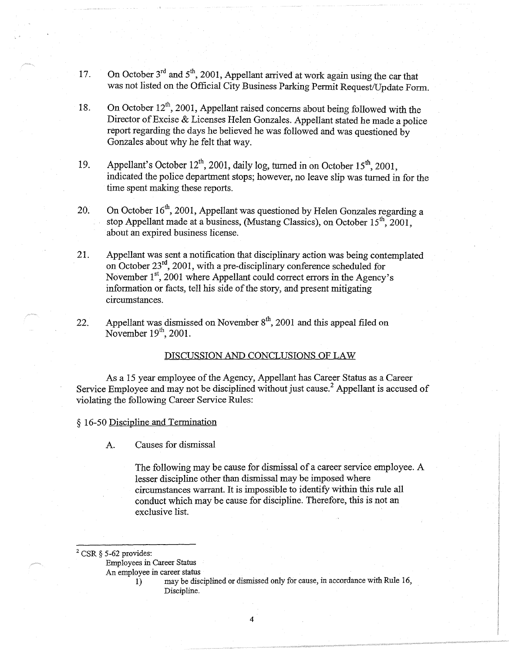- 17. On October  $3<sup>rd</sup>$  and  $5<sup>th</sup>$ , 2001, Appellant arrived at work again using the car that was not listed on the Official City Business Parking Permit Request/Update Form.
- 18. On October  $12^{th}$ , 2001, Appellant raised concerns about being followed with the Director of Excise & Licenses Helen Gonzales. Appellant stated he made a police report regarding the days he believed he was followed and was questioned by Gonzales about why he felt that way.
- 19. Appellant's October  $12^{th}$ , 2001, daily log, turned in on October 15<sup>th</sup>, 2001, indicated the police department stops; however, no leave slip was turned in for the time spent making these reports.
- 20. On October  $16<sup>th</sup>$ , 2001, Appellant was questioned by Helen Gonzales regarding a stop Appellant made at a business, (Mustang Classics), on October  $15^{th}$ , 2001, about an expired business license.
- 21. Appellant was sent a notification that disciplinary action was being contemplated on October 23rd, 2001, with a pre-disciplinary conference scheduled for November 1<sup>st</sup>, 2001 where Appellant could correct errors in the Agency's information or facts, tell his side of the story, and present mitigating circumstances.
- 22. Appellant was dismissed on November  $8<sup>th</sup>$ , 2001 and this appeal filed on November  $19<sup>th</sup>$ , 2001.

#### DISCUSSION AND CONCLUSIONS OF LAW

As a 15 year employee of the Agency, Appellant has Career Status as a Career Service Employee and may not be disciplined without just cause.<sup>2</sup> Appellant is accused of violating the following Career Service Rules:

§ 16-50 Discipline and Termination

A. Causes for dismissal

The following may be cause for dismissal of a career service employee. A lesser discipline other than dismissal may be imposed where circumstances warrant. It is impossible to identify within this rule all conduct which may be cause for discipline. Therefore, this is not an exclusive list.

 $2$  CSR  $\S$  5-62 provides:

Employees in Career Status

An employee in career status

I) may be disciplined or dismissed only for cause, in accordance with Rule 16, Discipline.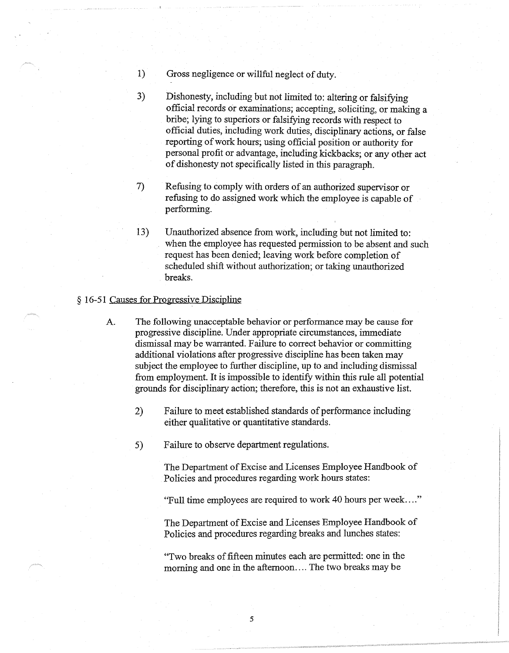- 1) Gross negligence or willful neglect of duty.
- 3) Dishonesty, including but not limited to: altering or falsifying official records or examinations; accepting, soliciting, or making a bribe; lying to superiors or falsifying records with respect to official duties, including work duties, disciplinary actions, or false reporting of work hours; using official position or authority for personal profit or advantage, including kickbacks; or any other act of dishonesty not specifically listed in this paragraph.
- 7) Refusing to comply with orders of an authorized supervisor or refusing to do assigned work which the employee is capable of performing.
- 13) Unauthorized absence from work, including but not limited to: when the employee has requested permission to be absent and such request has been denied; leaving work before completion of scheduled shift without authorization; or taking unauthorized breaks.

### § 16-51 Causes for Progressive Discipline

- A. The following unacceptable behavior or performance may be cause for progressive discipline. Under appropriate circumstances, immediate dismissal may be warranted. Failure to correct behavior or committing additional violations after progressive discipline has been taken may subject the employee to further discipline, up to and including dismissal from employment. It is impossible to identify within this rule all potential grounds for disciplinary action; therefore, this is not an exhaustive list.
	- 2) Failure to meet established standards of performance including either qualitative or quantitative standards.
	- 5) Failure to observe department regulations.

The Department of Excise and Licenses Employee Handbook of Policies and procedures regarding work hours states:

"Full time employees are required to work 40 hours per week .... "

The Department of Excise and Licenses Employee Handbook of Policies and procedures regarding breaks and lunches states:

"Two breaks of fifteen minutes each are permitted: one in the morning and one in the afternoon .... The two breaks may be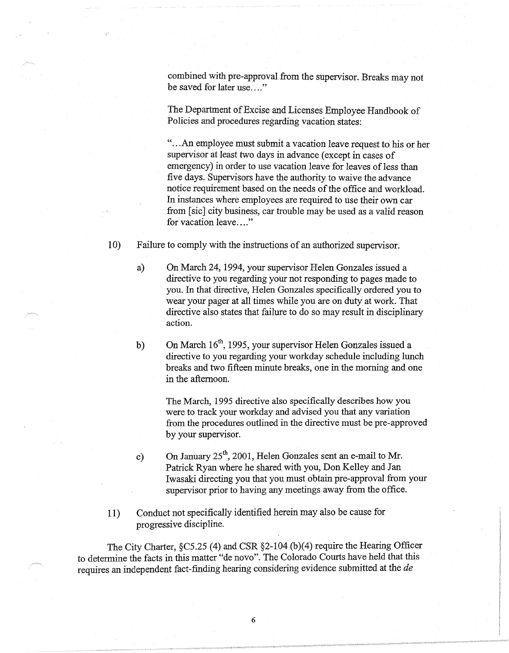combined with pre-approval from the supervisor. Breaks may not be saved for later use...."

The Department of Excise and Licenses Employee Handbook of Policies and procedures regarding vacation states:

"... An employee must submit a vacation leave request to his or her supervisor at least two days in advance (except in cases of emergency) in order to use vacation leave for leaves of less than five days. Supervisors have the authority to waive the advance notice requirement based on the needs of the office and workload. In instances where employees are required to use their own car from [sic] city business, car trouble may be used as a valid reason for vacation leave...."

10) Failure to comply with the instructions of an authorized supervisor.

- a) On March 24, 1994, your supervisor Helen Gonzales issued a directive to you regarding your not responding to pages made to you. In that directive, Helen Gonzales specifically ordered you to wear your pager at all times while you are on duty at work. That directive also states that failure to do so may result in disciplinary action.
- b) On March  $16<sup>th</sup>$ , 1995, your supervisor Helen Gonzales issued a directive to you regarding your workday schedule including lunch breaks and two fifteen minute breaks, one in the morning and one in the afternoon.

The March, 1995 directive also specifically describes how you were to track your workday and advised you that any variation from the procedures outlined in the directive must be pre-approved by your supervisor.

- c) On January  $25^{\text{th}}$ , 2001, Helen Gonzales sent an e-mail to Mr. Patrick Ryan where he shared with you, Don Kelley and Jan Iwasaki directing you that you must obtain pre-approval from your supervisor prior to having any meetings away from the office.
- 11) Conduct not specifically identified herein may also be cause for progressive discipline.

The City Charter, §C5.25 (4) and CSR §2-104 (b)(4) require the Hearing Officer to determine the facts in this matter "de novo". The Colorado Courts have held that this requires an independent fact-finding hearing considering evidence submitted at the *de*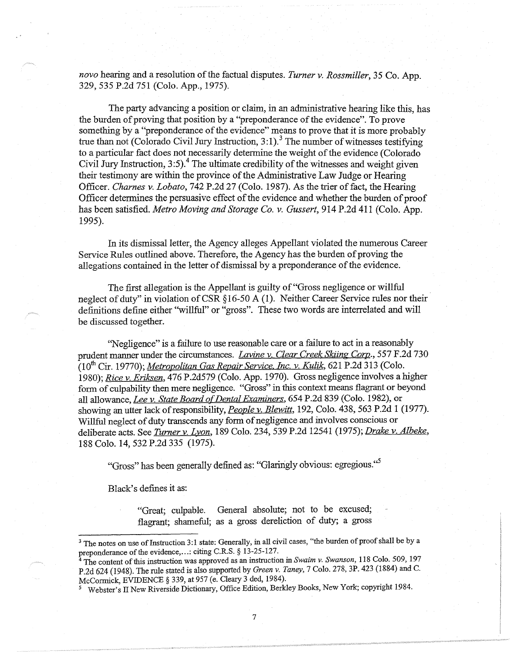*nova* hearing and a resolution of the factual disputes. *Turner v. Rossmiller,* 35 Co. App. 329,535 P.2d 751 (Colo. App., 1975).

The party advancing a position or claim, in an administrative hearing like this, has the burden of proving that position by a "preponderance of the evidence". To prove something by a "preponderance of the evidence" means to prove that it is more probably true than not (Colorado Civil Jury Instruction, 3:1).<sup>3</sup> The number of witnesses testifying to a particular fact does not necessarily determine the weight of the evidence (Colorado Civil Jury Instruction,  $3:5$ ).<sup>4</sup> The ultimate credibility of the witnesses and weight given their testimony are within the province of the Administrative Law Judge or Hearing Officer. *Charnes v. Lobato,* 742 P.2d 27 (Colo. 1987). As the trier of fact, the Hearing Officer determines the persuasive effect of the evidence and whether the burden of proof has been satisfied. *Metro Moving and Storage Co. v. Gussert,* 914 P.2d 411 (Colo. App. 1995).

In its dismissal letter, the Agency alleges Appellant violated the numerous Career Service Rules outlined above. Therefore, the Agency has the burden of proving the allegations contained in the letter of dismissal by a preponderance of the evidence.

The first allegation is the Appellant is guilty of "Gross negligence or willful neglect of duty" in violation of CSR §16-50 A (1). Neither Career Service rules nor their definitions define either "willful" or "gross". These two words are interrelated and will be discussed together.

"Negligence" is a failure to use reasonable care or a failure to act in a reasonably prudent manner under the circumstances. *Lavine v. Clear Creek Skiing Corp.,* 557 F.2d 730 (10<sup>th</sup> Cir. 19770); *Metropolitan Gas Repair Service, Inc. v. Kulik*, 621 P.2d 313 (Colo. 1980); *Rice v. Eriksen,* 476 P.2d579 (Colo. App. 1970). Gross negligence involves a higher form of culpability then mere negligence. "Gross" in this context means flagrant or beyond all allowance, *Lee v. State Board of Dental Examiners,* 654 P.2d 839 (Colo. 1982), or <sup>J</sup> showing an utter lack ofresponsibility, *People v. Blewitt,* 192, Colo. 438, 563 P.2d 1 (1977). Willful neglect of duty transcends any form of negligence and involves conscious or deliberate acts. See *Turner v. Lyon,* 189 Colo. 234, 539 P.2d 12541 (1975); *Drake v. Albeke,*  188 Colo. 14,532 P.2d 335 (1975).

"Gross" has been generally defined as: "Glaringly obvious: egregious."

Black's defines it as:

"Great; culpable. General absolute; not to be excused; flagrant; shameful; as a gross dereliction of duty; a gross

<sup>&</sup>lt;sup>3</sup> The notes on use of Instruction 3:1 state: Generally, in all civil cases, "the burden of proof shall be by a preponderance of the evidence, ... : citing C.R.S. § 13-25-127.

<sup>&</sup>lt;sup>4</sup> The content of this instruction was approved as an instruction in *Swaim v. Swanson*, 118 Colo. 509, 197 P.2d 624 (1948). The rule stated is also supported by *Green v. Taney,* 7 Colo. 278, 3P. 423 (1884) and C. McCormick, EVIDENCE § 339, at 957 (e. Cleary 3 ded, 1984).

<sup>5</sup>Webster's II New Riverside Dictionary, Office Edition, Berkley Books, New York; copyright 1984.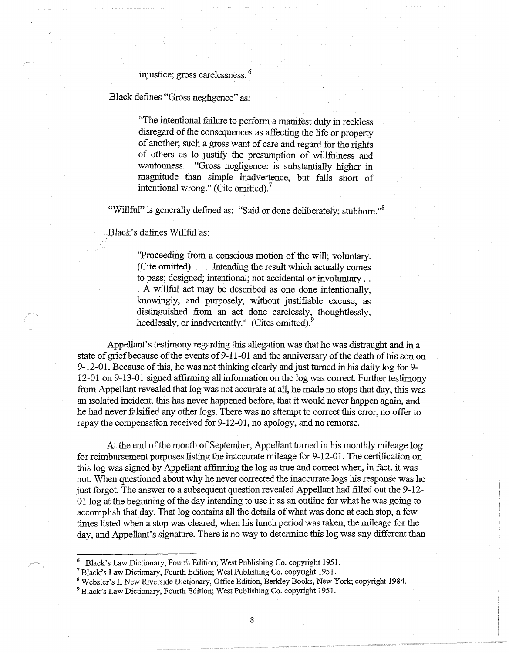# injustice; gross carelessness. <sup>6</sup>

Black defines "Gross negligence" as:

"The intentional failure to perform a manifest duty in reckless disregard of the consequences as affecting the life or property of another; such a gross want of care and regard for the rights of others as to justify the presumption of willfulness and wantonness. "Gross negligence: is substantially higher in magnitude than simple inadvertence, but falls short of intentional wrong." (Cite omitted).<sup>7</sup>

"Willful" is generally defined as: "Said or done deliberately; stubborn."<sup>8</sup>

Black's defines Willful as:

"Proceeding from a conscious motion of the will; voluntary. (Cite omitted). . . . Intending the result which actually comes to pass; designed; intentional; not accidental or involuntary .. . A willful act may be described as one done intentionally, knowingly, and purposely, without justifiable excuse, as distinguished from an act done carelessly, thoughtlessly, heedlessly, or inadvertently." (Cites omitted).<sup>9</sup>

Appellant's testimony regarding this allegation was that he was distraught and in a state of grief because of the events of 9-11-01 and the anniversary of the death of his son on 9-12-01. Because of this, he was not thinking clearly and just turned in his daily log for 9- 12-01 on 9-13-01 signed affirming all information on the log was correct. Further testimony from Appellant revealed that log was not accurate at all, he made no stops that day, this was an isolated incident, this has never happened before, that it would never happen again, and he had never falsified any other logs. There was no attempt to correct this error, no offer to repay the compensation received for 9-12-01, no apology, and no remorse.

At the end of the month of September, Appellant turned in his monthly mileage log for reimbursement purposes listing the inaccurate mileage for 9-12-01. The certification on this log was signed by Appellant affirming the log as true and correct when, in fact, it was not. When questioned about why he never corrected the inaccurate logs his response was he just forgot. The answer to a subsequent question revealed Appellant had filled out the 9-12- 01 log at the beginning of the day intending to use it as an outline for what he was going to accomplish that day. That log contains all the details of what was done at each stop, a few times listed when a stop was cleared, when his lunch period was taken, the mileage for the day, and Appellant's signature. There is no way to determine this log was any different than

<sup>6</sup>Black's Law Dictionary, Fourth Edition; West Publishing Co. copyright 1951.

<sup>7</sup>Black's Law Dictionary, Fourth Edition; West Publishing Co. copyright 1951.

<sup>8</sup> Webster's II New Riverside Dictionary, Office Edition, Berkley Books, New York; copyright 1984.

<sup>&</sup>lt;sup>9</sup> Black's Law Dictionary, Fourth Edition; West Publishing Co. copyright 1951.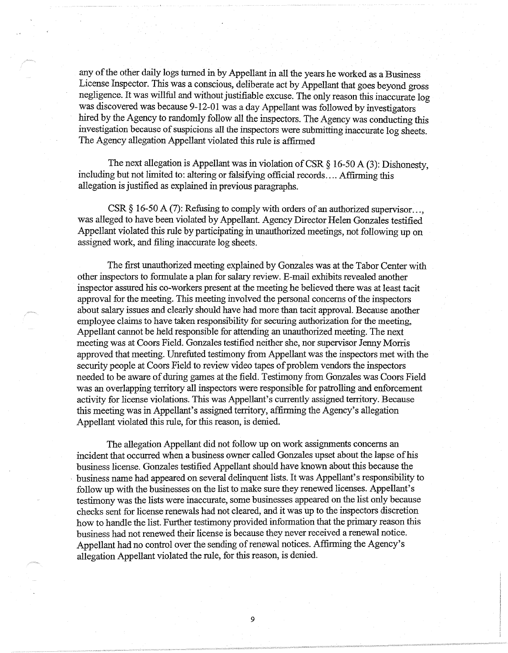any of the other daily logs turned in by Appellant in all the years he worked as a Business License Inspector. This was a conscious, deliberate act by Appellant that goes beyond gross negligence. It was willful and without justifiable excuse. The only reason this inaccurate log was discovered was because 9-12-01 was a day Appellant was followed by investigators hired by the Agency to randomly follow all the inspectors. The Agency was conducting this investigation because of suspicions all the inspectors were submitting inaccurate log sheets. The Agency allegation Appellant violated this rule is affirmed

The next allegation is Appellant was in violation of CSR  $\S$  16-50 A (3): Dishonesty, including but not limited to: altering or falsifying official records .... Affirming this allegation is justified as explained in previous paragraphs.

CSR  $\S$  16-50 A (7): Refusing to comply with orders of an authorized supervisor... was alleged to have been violated by Appellant. Agency Director Helen Gonzales testified Appellant violated this rule by participating in unauthorized meetings, not following up on assigned work, and filing inaccurate log sheets.

The first unauthorized meeting explained by Gonzales was at the Tabor Center with other inspectors to formulate a plan for salary review. E-mail exhibits revealed another inspector assured his co-workers present at the meeting he believed there was at least tacit approval for the meeting. This meeting involved the personal concerns of the inspectors about salary issues and clearly should have had more than tacit approval. Because another employee claims to have taken responsibility for securing authorization for the meeting, Appellant cannot be held responsible for attending an unauthorized meeting. The next meeting was at Coors Field. Gonzales testified neither she, nor supervisor Jenny Morris approved that meeting. Unrefuted testimony from Appellant was the inspectors met with the security people at Coors Field to review video tapes of problem vendors the inspectors needed to be aware of during games at the field. Testimony from Gonzales was Coors Field was an overlapping territory all inspectors were responsible for patrolling and enforcement activity for license violations. This was Appellant's currently assigned territory. Because this meeting was in Appellant's assigned territory, affirming the Agency's allegation Appellant violated this rule, for this reason, is denied.

The allegation Appellant did not follow up on work assignments concerns an incident that occurred when a business owner called Gonzales upset about the lapse of his business license. Gonzales testified Appellant should have known about this because the . business name had appeared on several delinquent lists. It was Appellant's responsibility to follow up with the businesses on the list to make sure they renewed licenses. Appellant's testimony was the lists were inaccurate, some businesses appeared on the list only because checks sent for license renewals had not cleared, and it was up to the inspectors discretion how to handle the list. Further testimony provided information that the primary reason this business had not renewed their license is because they never received a renewal notice. Appellant had no control over the sending of renewal notices. Affirming the Agency's allegation Appellant violated the rule, for this reason, is denied.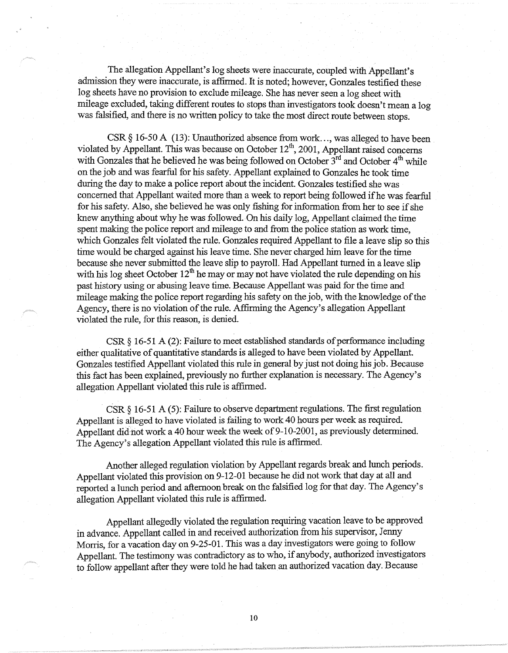The allegation Appellant's log sheets were inaccurate, coupled with Appellant's admission they were inaccurate, is affirmed. It is noted; however, Gonzales testified these log sheets have no provision to exclude mileage. She has never seen a log sheet with mileage excluded, taking different routes to stops than investigators took doesn't mean a log was falsified, and there is no written policy to take the most direct route between stops.

CSR § 16-50 A (13): Unauthorized absence from work..., was alleged to have been violated by Appellant. This was because on October  $12<sup>th</sup>$ , 2001, Appellant raised concerns with Gonzales that he believed he was being followed on October  $3^{rd}$  and October  $4^{th}$  while on the job and was fearful for his safety. Appellant explained to Gonzales he took time during the day to make a police report about the incident. Gonzales testified she was concerned that Appellant waited more than a week to report being followed ifhe was fearful for his safety. Also, she believed he was only fishing for information from her to see if she knew anything about why he was followed. On his daily log, Appellant claimed the time spent making the police report and mileage to and from the police station as work time, which Gonzales felt violated the rule. Gonzales required Appellant to file a leave slip so this time would be charged against his leave time. She never charged him leave for the time because she never submitted the leave slip to payroll. Had Appellant turned in a leave slip with his log sheet October  $12<sup>th</sup>$  he may or may not have violated the rule depending on his past history using or abusing leave time. Because Appellant was paid for the time and mileage making the police report regarding his safety on the job, with the knowledge of the Agency, there is no violation of the rule. Affirming the Agency's allegation Appellant violated the rule, for this reason, is denied.

CSR  $\S$  16-51 A (2): Failure to meet established standards of performance including either qualitative of quantitative standards is alleged to have been violated by Appellant. Gonzales testified Appellant violated this rule in general by just not doing his job. Because this fact has been explained, previously no further explanation is necessary. The Agency's allegation Appellant violated this rule is affirmed.

CSR  $\S$  16-51 A (5): Failure to observe department regulations. The first regulation Appellant is alleged to have violated is failing to work 40 hours per week as required. Appellant did not work a 40 hour week the week of 9-10-2001, as previously determined. The Agency's allegation Appellant violated this rule is affirmed.

Another alleged regulation violation by Appellant regards break and lunch periods. Appellant violated this provision on 9-12-01 because he did not work that day at all and reported a lunch period and afternoon break on the falsified log for that day. The Agency's allegation Appellant violated this rule is affirmed.

Appellant allegedly violated the regulation requiring vacation leave to be approved in advance. Appellant called in and received authorization from his supervisor, Jenny Morris, for a vacation day on 9-25-01. This was a day investigators were going to follow Appellant. The testimony was contradictory as to who, if anybody, authorized investigators to follow appellant after they were told he had taken an authorized vacation day. Because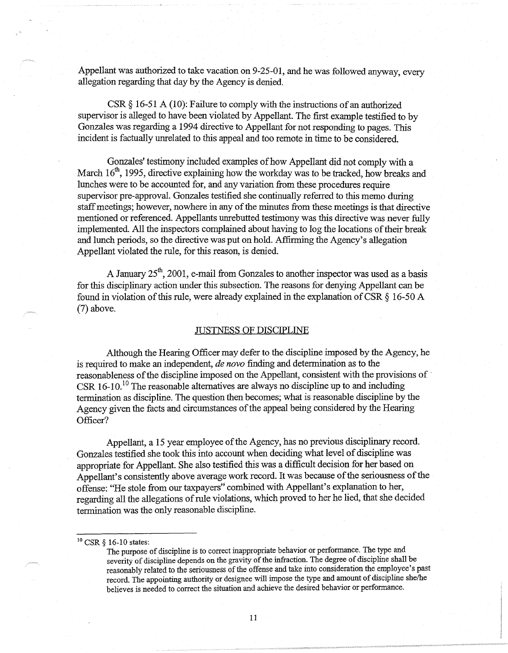Appellant was authorized to take vacation on 9-25-01, and he was followed anyway, every allegation regarding that day by the Agency is denied.

CSR  $\S$  16-51 A (10): Failure to comply with the instructions of an authorized supervisor is alleged to have been violated by Appellant. The first example testified to by Gonzales was regarding a 1994 directive to Appellant for not responding to pages. This incident is factually unrelated to this appeal and too remote in time to be considered.

Gonzales' testimony included examples of how Appellant did not comply with a March  $16<sup>th</sup>$ , 1995, directive explaining how the workday was to be tracked, how breaks and lunches were to be accounted for, and any variation from these procedures require supervisor pre-approval. Gonzales testified she continually referred to this memo during staff meetings; however, nowhere in any of the minutes from these meetings is that directive mentioned or referenced. Appellants unrebutted testimony was this directive was never fully implemented. All the inspectors complained about having to log the locations of their break and lunch periods, so the directive was put on hold. Affirming the Agency's allegation Appellant violated the rule, for this reason, is denied.

A January  $25<sup>th</sup>$ , 2001, e-mail from Gonzales to another inspector was used as a basis for this disciplinary action under this subsection. The reasons for denying Appellant can be found in violation of this rule, were already explained in the explanation of CSR§ 16-50 A (7) above.

# msTNESS OF DISCIPLINE

Although the Hearing Officer may defer to the discipline imposed by the Agency, he is required to make an independent, *de novo* finding and determination as to the reasonableness of the discipline imposed on the Appellant, consistent with the provisions of· CSR  $16$ -10.<sup>10</sup> The reasonable alternatives are always no discipline up to and including termination as discipline. The question then becomes; what is reasonable discipline by the Agency given the facts and circumstances of the appeal being considered by the Hearing Officer?

Appellant, a 15 year employee of the Agency, has no previous disciplinary record. Gonzales testified she took this into account when deciding what level of discipline was appropriate for Appellant. She also testified this was a difficult decision for her based on Appellant's consistently above average work record. It was because of the seriousness of the offense: "He stole from our taxpayers" combined with Appellant's explanation to her, regarding all the allegations of rule violations, which proved to her he lied, that she decided termination was the only reasonable discipline.

 $10$  CSR  $\S$  16-10 states:

The purpose of discipline is to correct inappropriate behavior or performance. The type and severity of discipline depends on the gravity of the infraction. The degree of discipline shall be reasonably related to the seriousness of the offense and take into consideration the employee's past record. The appointing authority or designee will impose the type and amount of discipline she/he believes is needed to correct the situation and achieve the desired behavior or performance.